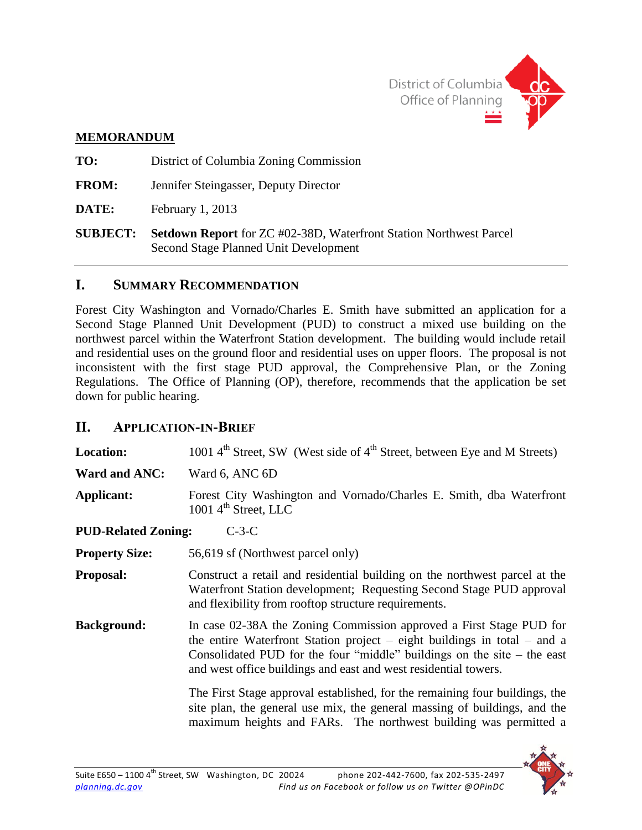

### **MEMORANDUM**

**TO:** District of Columbia Zoning Commission **FROM:** Jennifer Steingasser, Deputy Director **DATE:** February 1, 2013 **SUBJECT: Setdown Report** for ZC #02-38D, Waterfront Station Northwest Parcel Second Stage Planned Unit Development

### **I. SUMMARY RECOMMENDATION**

Forest City Washington and Vornado/Charles E. Smith have submitted an application for a Second Stage Planned Unit Development (PUD) to construct a mixed use building on the northwest parcel within the Waterfront Station development. The building would include retail and residential uses on the ground floor and residential uses on upper floors. The proposal is not inconsistent with the first stage PUD approval, the Comprehensive Plan, or the Zoning Regulations. The Office of Planning (OP), therefore, recommends that the application be set down for public hearing.

### **II. APPLICATION-IN-BRIEF**

| <b>Location:</b>           | 1001 $4th$ Street, SW (West side of $4th$ Street, between Eye and M Streets)                                                                                                                                                                                                                    |  |
|----------------------------|-------------------------------------------------------------------------------------------------------------------------------------------------------------------------------------------------------------------------------------------------------------------------------------------------|--|
| Ward and ANC:              | Ward 6, ANC 6D                                                                                                                                                                                                                                                                                  |  |
| Applicant:                 | Forest City Washington and Vornado/Charles E. Smith, dba Waterfront<br>1001 $4^{\text{th}}$ Street, LLC                                                                                                                                                                                         |  |
| <b>PUD-Related Zoning:</b> | $C-3-C$                                                                                                                                                                                                                                                                                         |  |
| <b>Property Size:</b>      | 56,619 sf (Northwest parcel only)                                                                                                                                                                                                                                                               |  |
| <b>Proposal:</b>           | Construct a retail and residential building on the northwest parcel at the<br>Waterfront Station development; Requesting Second Stage PUD approval<br>and flexibility from rooftop structure requirements.                                                                                      |  |
| <b>Background:</b>         | In case 02-38A the Zoning Commission approved a First Stage PUD for<br>the entire Waterfront Station project – eight buildings in total – and a<br>Consolidated PUD for the four "middle" buildings on the site $-$ the east<br>and west office buildings and east and west residential towers. |  |
|                            | The First Stage approval established, for the remaining four buildings, the<br>site plan, the general use mix, the general massing of buildings, and the<br>maximum heights and FARs. The northwest building was permitted a                                                                    |  |

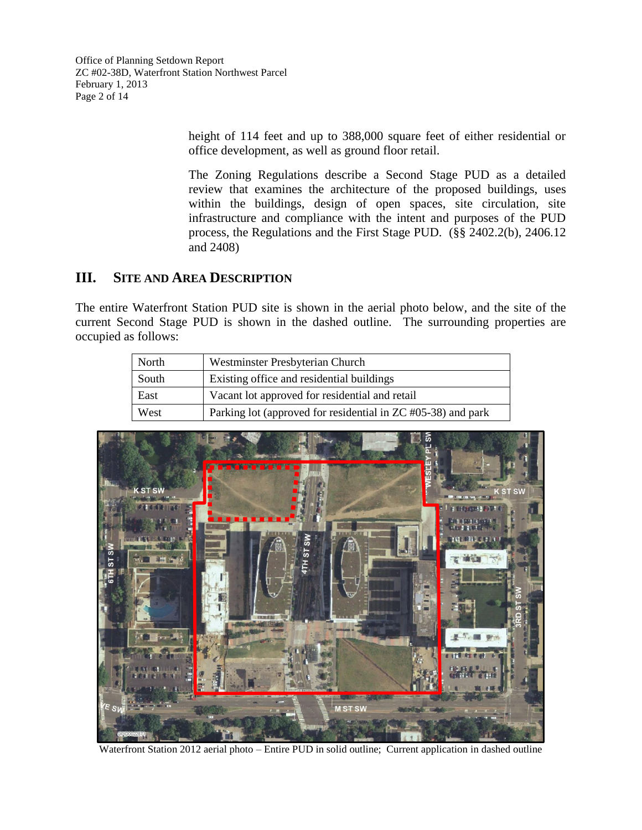Office of Planning Setdown Report ZC #02-38D, Waterfront Station Northwest Parcel February 1, 2013 Page 2 of 14

> height of 114 feet and up to 388,000 square feet of either residential or office development, as well as ground floor retail.

> The Zoning Regulations describe a Second Stage PUD as a detailed review that examines the architecture of the proposed buildings, uses within the buildings, design of open spaces, site circulation, site infrastructure and compliance with the intent and purposes of the PUD process, the Regulations and the First Stage PUD. (§§ 2402.2(b), 2406.12 and 2408)

### **III. SITE AND AREA DESCRIPTION**

The entire Waterfront Station PUD site is shown in the aerial photo below, and the site of the current Second Stage PUD is shown in the dashed outline. The surrounding properties are occupied as follows:

| North | Westminster Presbyterian Church                              |
|-------|--------------------------------------------------------------|
| South | Existing office and residential buildings                    |
| East  | Vacant lot approved for residential and retail               |
| West  | Parking lot (approved for residential in ZC #05-38) and park |



Waterfront Station 2012 aerial photo – Entire PUD in solid outline; Current application in dashed outline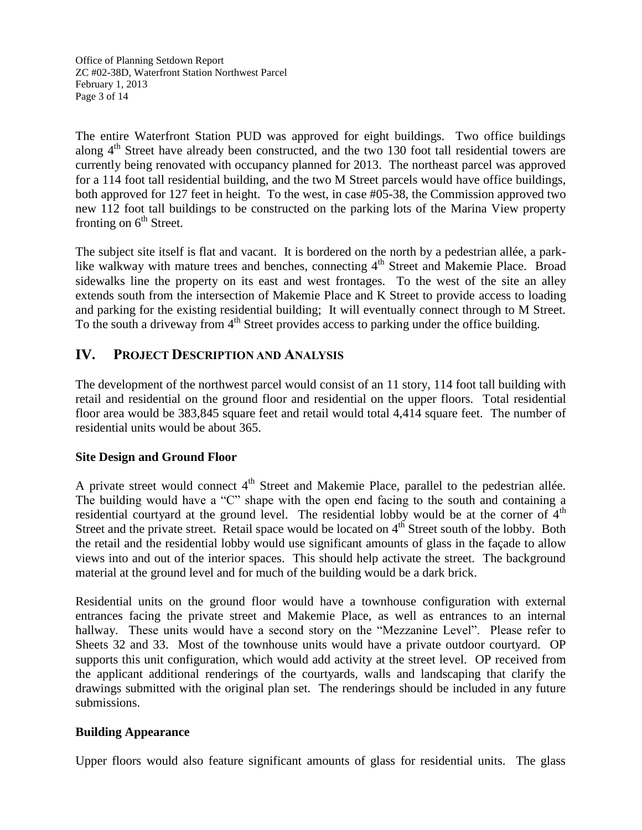Office of Planning Setdown Report ZC #02-38D, Waterfront Station Northwest Parcel February 1, 2013 Page 3 of 14

The entire Waterfront Station PUD was approved for eight buildings. Two office buildings along  $4<sup>th</sup>$  Street have already been constructed, and the two 130 foot tall residential towers are currently being renovated with occupancy planned for 2013. The northeast parcel was approved for a 114 foot tall residential building, and the two M Street parcels would have office buildings, both approved for 127 feet in height. To the west, in case #05-38, the Commission approved two new 112 foot tall buildings to be constructed on the parking lots of the Marina View property fronting on  $6<sup>th</sup>$  Street.

The subject site itself is flat and vacant. It is bordered on the north by a pedestrian allée, a parklike walkway with mature trees and benches, connecting 4<sup>th</sup> Street and Makemie Place. Broad sidewalks line the property on its east and west frontages. To the west of the site an alley extends south from the intersection of Makemie Place and K Street to provide access to loading and parking for the existing residential building; It will eventually connect through to M Street. To the south a driveway from  $4<sup>th</sup>$  Street provides access to parking under the office building.

### **IV. PROJECT DESCRIPTION AND ANALYSIS**

The development of the northwest parcel would consist of an 11 story, 114 foot tall building with retail and residential on the ground floor and residential on the upper floors. Total residential floor area would be 383,845 square feet and retail would total 4,414 square feet. The number of residential units would be about 365.

#### **Site Design and Ground Floor**

A private street would connect  $4<sup>th</sup>$  Street and Makemie Place, parallel to the pedestrian allée. The building would have a "C" shape with the open end facing to the south and containing a residential courtyard at the ground level. The residential lobby would be at the corner of  $4<sup>th</sup>$ Street and the private street. Retail space would be located on 4<sup>th</sup> Street south of the lobby. Both the retail and the residential lobby would use significant amounts of glass in the façade to allow views into and out of the interior spaces. This should help activate the street. The background material at the ground level and for much of the building would be a dark brick.

Residential units on the ground floor would have a townhouse configuration with external entrances facing the private street and Makemie Place, as well as entrances to an internal hallway. These units would have a second story on the "Mezzanine Level". Please refer to Sheets 32 and 33. Most of the townhouse units would have a private outdoor courtyard. OP supports this unit configuration, which would add activity at the street level. OP received from the applicant additional renderings of the courtyards, walls and landscaping that clarify the drawings submitted with the original plan set. The renderings should be included in any future submissions.

#### **Building Appearance**

Upper floors would also feature significant amounts of glass for residential units. The glass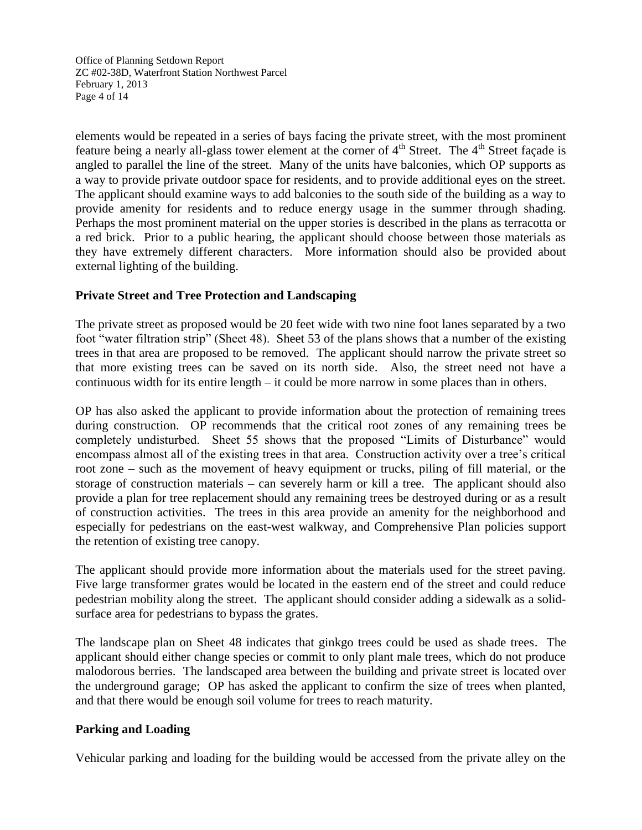Office of Planning Setdown Report ZC #02-38D, Waterfront Station Northwest Parcel February 1, 2013 Page 4 of 14

elements would be repeated in a series of bays facing the private street, with the most prominent feature being a nearly all-glass tower element at the corner of 4<sup>th</sup> Street. The 4<sup>th</sup> Street façade is angled to parallel the line of the street. Many of the units have balconies, which OP supports as a way to provide private outdoor space for residents, and to provide additional eyes on the street. The applicant should examine ways to add balconies to the south side of the building as a way to provide amenity for residents and to reduce energy usage in the summer through shading. Perhaps the most prominent material on the upper stories is described in the plans as terracotta or a red brick. Prior to a public hearing, the applicant should choose between those materials as they have extremely different characters. More information should also be provided about external lighting of the building.

### **Private Street and Tree Protection and Landscaping**

The private street as proposed would be 20 feet wide with two nine foot lanes separated by a two foot "water filtration strip" (Sheet 48). Sheet 53 of the plans shows that a number of the existing trees in that area are proposed to be removed. The applicant should narrow the private street so that more existing trees can be saved on its north side. Also, the street need not have a continuous width for its entire length – it could be more narrow in some places than in others.

OP has also asked the applicant to provide information about the protection of remaining trees during construction. OP recommends that the critical root zones of any remaining trees be completely undisturbed. Sheet 55 shows that the proposed "Limits of Disturbance" would encompass almost all of the existing trees in that area. Construction activity over a tree's critical root zone – such as the movement of heavy equipment or trucks, piling of fill material, or the storage of construction materials – can severely harm or kill a tree. The applicant should also provide a plan for tree replacement should any remaining trees be destroyed during or as a result of construction activities. The trees in this area provide an amenity for the neighborhood and especially for pedestrians on the east-west walkway, and Comprehensive Plan policies support the retention of existing tree canopy.

The applicant should provide more information about the materials used for the street paving. Five large transformer grates would be located in the eastern end of the street and could reduce pedestrian mobility along the street. The applicant should consider adding a sidewalk as a solidsurface area for pedestrians to bypass the grates.

The landscape plan on Sheet 48 indicates that ginkgo trees could be used as shade trees. The applicant should either change species or commit to only plant male trees, which do not produce malodorous berries. The landscaped area between the building and private street is located over the underground garage; OP has asked the applicant to confirm the size of trees when planted, and that there would be enough soil volume for trees to reach maturity.

#### **Parking and Loading**

Vehicular parking and loading for the building would be accessed from the private alley on the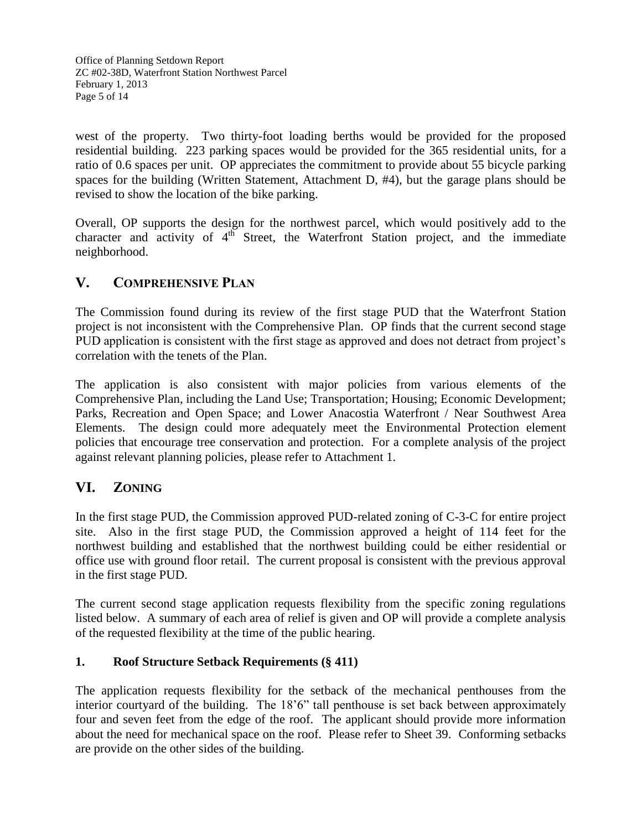Office of Planning Setdown Report ZC #02-38D, Waterfront Station Northwest Parcel February 1, 2013 Page 5 of 14

west of the property. Two thirty-foot loading berths would be provided for the proposed residential building. 223 parking spaces would be provided for the 365 residential units, for a ratio of 0.6 spaces per unit. OP appreciates the commitment to provide about 55 bicycle parking spaces for the building (Written Statement, Attachment D, #4), but the garage plans should be revised to show the location of the bike parking.

Overall, OP supports the design for the northwest parcel, which would positively add to the character and activity of  $4^{\text{th}}$  Street, the Waterfront Station project, and the immediate neighborhood.

### **V. COMPREHENSIVE PLAN**

The Commission found during its review of the first stage PUD that the Waterfront Station project is not inconsistent with the Comprehensive Plan. OP finds that the current second stage PUD application is consistent with the first stage as approved and does not detract from project's correlation with the tenets of the Plan.

The application is also consistent with major policies from various elements of the Comprehensive Plan, including the Land Use; Transportation; Housing; Economic Development; Parks, Recreation and Open Space; and Lower Anacostia Waterfront / Near Southwest Area Elements. The design could more adequately meet the Environmental Protection element policies that encourage tree conservation and protection. For a complete analysis of the project against relevant planning policies, please refer to Attachment 1.

### **VI. ZONING**

In the first stage PUD, the Commission approved PUD-related zoning of C-3-C for entire project site. Also in the first stage PUD, the Commission approved a height of 114 feet for the northwest building and established that the northwest building could be either residential or office use with ground floor retail. The current proposal is consistent with the previous approval in the first stage PUD.

The current second stage application requests flexibility from the specific zoning regulations listed below. A summary of each area of relief is given and OP will provide a complete analysis of the requested flexibility at the time of the public hearing.

### **1. Roof Structure Setback Requirements (§ 411)**

The application requests flexibility for the setback of the mechanical penthouses from the interior courtyard of the building. The 18'6" tall penthouse is set back between approximately four and seven feet from the edge of the roof. The applicant should provide more information about the need for mechanical space on the roof. Please refer to Sheet 39. Conforming setbacks are provide on the other sides of the building.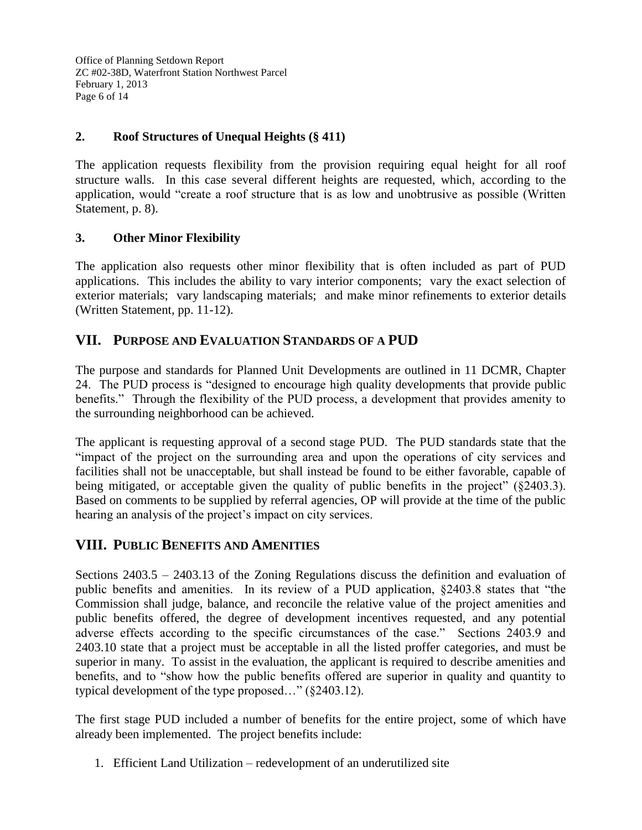Office of Planning Setdown Report ZC #02-38D, Waterfront Station Northwest Parcel February 1, 2013 Page 6 of 14

### **2. Roof Structures of Unequal Heights (§ 411)**

The application requests flexibility from the provision requiring equal height for all roof structure walls. In this case several different heights are requested, which, according to the application, would "create a roof structure that is as low and unobtrusive as possible (Written Statement, p. 8).

### **3. Other Minor Flexibility**

The application also requests other minor flexibility that is often included as part of PUD applications. This includes the ability to vary interior components; vary the exact selection of exterior materials; vary landscaping materials; and make minor refinements to exterior details (Written Statement, pp. 11-12).

### **VII. PURPOSE AND EVALUATION STANDARDS OF A PUD**

The purpose and standards for Planned Unit Developments are outlined in 11 DCMR, Chapter 24. The PUD process is "designed to encourage high quality developments that provide public benefits." Through the flexibility of the PUD process, a development that provides amenity to the surrounding neighborhood can be achieved.

The applicant is requesting approval of a second stage PUD. The PUD standards state that the "impact of the project on the surrounding area and upon the operations of city services and facilities shall not be unacceptable, but shall instead be found to be either favorable, capable of being mitigated, or acceptable given the quality of public benefits in the project" (§2403.3). Based on comments to be supplied by referral agencies, OP will provide at the time of the public hearing an analysis of the project's impact on city services.

### **VIII. PUBLIC BENEFITS AND AMENITIES**

Sections 2403.5 – 2403.13 of the Zoning Regulations discuss the definition and evaluation of public benefits and amenities. In its review of a PUD application, §2403.8 states that "the Commission shall judge, balance, and reconcile the relative value of the project amenities and public benefits offered, the degree of development incentives requested, and any potential adverse effects according to the specific circumstances of the case." Sections 2403.9 and 2403.10 state that a project must be acceptable in all the listed proffer categories, and must be superior in many. To assist in the evaluation, the applicant is required to describe amenities and benefits, and to "show how the public benefits offered are superior in quality and quantity to typical development of the type proposed…" (§2403.12).

The first stage PUD included a number of benefits for the entire project, some of which have already been implemented. The project benefits include:

1. Efficient Land Utilization – redevelopment of an underutilized site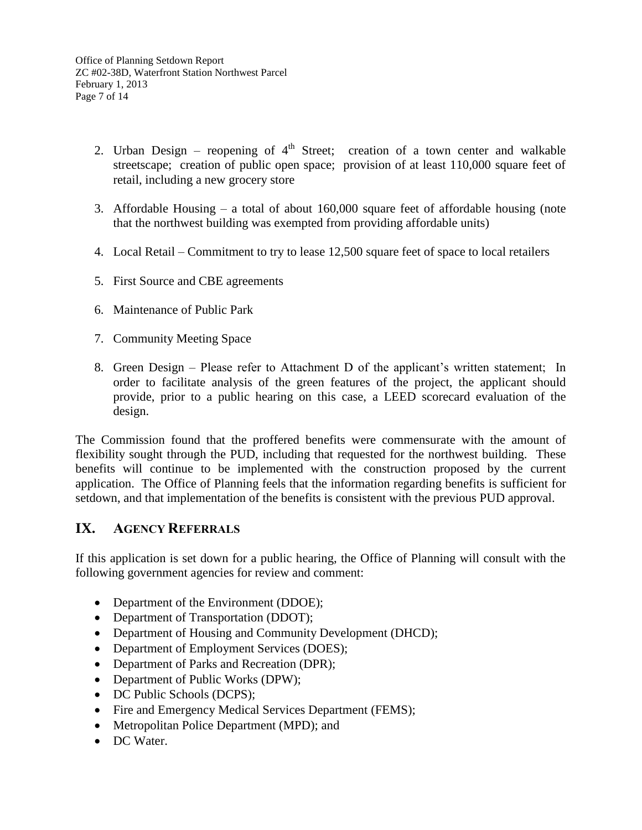Office of Planning Setdown Report ZC #02-38D, Waterfront Station Northwest Parcel February 1, 2013 Page 7 of 14

- 2. Urban Design reopening of  $4<sup>th</sup>$  Street; creation of a town center and walkable streetscape; creation of public open space; provision of at least 110,000 square feet of retail, including a new grocery store
- 3. Affordable Housing a total of about 160,000 square feet of affordable housing (note that the northwest building was exempted from providing affordable units)
- 4. Local Retail Commitment to try to lease 12,500 square feet of space to local retailers
- 5. First Source and CBE agreements
- 6. Maintenance of Public Park
- 7. Community Meeting Space
- 8. Green Design Please refer to Attachment D of the applicant's written statement; In order to facilitate analysis of the green features of the project, the applicant should provide, prior to a public hearing on this case, a LEED scorecard evaluation of the design.

The Commission found that the proffered benefits were commensurate with the amount of flexibility sought through the PUD, including that requested for the northwest building. These benefits will continue to be implemented with the construction proposed by the current application. The Office of Planning feels that the information regarding benefits is sufficient for setdown, and that implementation of the benefits is consistent with the previous PUD approval.

### **IX. AGENCY REFERRALS**

If this application is set down for a public hearing, the Office of Planning will consult with the following government agencies for review and comment:

- Department of the Environment (DDOE);
- Department of Transportation (DDOT);
- Department of Housing and Community Development (DHCD);
- Department of Employment Services (DOES);
- Department of Parks and Recreation (DPR);
- Department of Public Works (DPW);
- DC Public Schools (DCPS);
- Fire and Emergency Medical Services Department (FEMS);
- Metropolitan Police Department (MPD); and
- DC Water.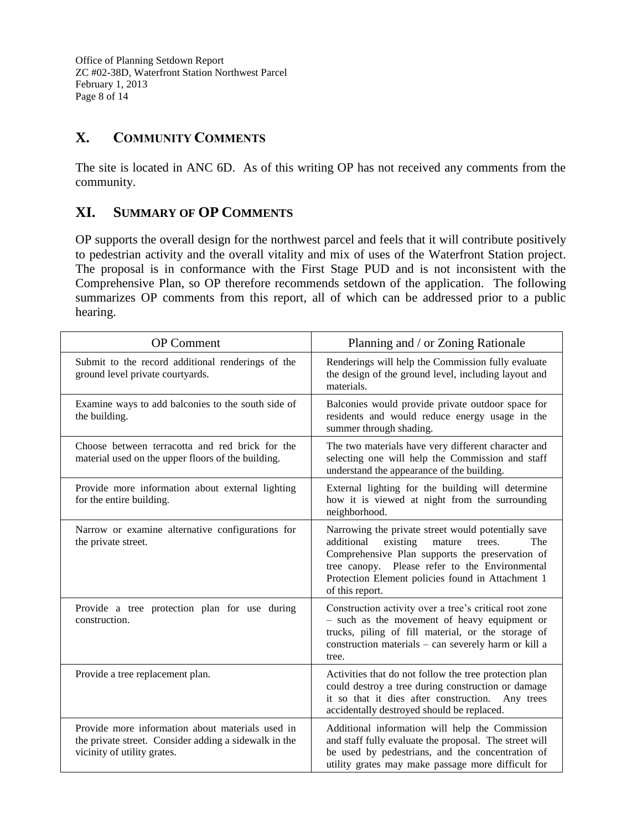Office of Planning Setdown Report ZC #02-38D, Waterfront Station Northwest Parcel February 1, 2013 Page 8 of 14

# **X. COMMUNITY COMMENTS**

The site is located in ANC 6D. As of this writing OP has not received any comments from the community.

## **XI. SUMMARY OF OP COMMENTS**

OP supports the overall design for the northwest parcel and feels that it will contribute positively to pedestrian activity and the overall vitality and mix of uses of the Waterfront Station project. The proposal is in conformance with the First Stage PUD and is not inconsistent with the Comprehensive Plan, so OP therefore recommends setdown of the application. The following summarizes OP comments from this report, all of which can be addressed prior to a public hearing.

| <b>OP</b> Comment                                                                                                                        | Planning and / or Zoning Rationale                                                                                                                                                                                                                                                    |
|------------------------------------------------------------------------------------------------------------------------------------------|---------------------------------------------------------------------------------------------------------------------------------------------------------------------------------------------------------------------------------------------------------------------------------------|
| Submit to the record additional renderings of the<br>ground level private courtyards.                                                    | Renderings will help the Commission fully evaluate<br>the design of the ground level, including layout and<br>materials.                                                                                                                                                              |
| Examine ways to add balconies to the south side of<br>the building.                                                                      | Balconies would provide private outdoor space for<br>residents and would reduce energy usage in the<br>summer through shading.                                                                                                                                                        |
| Choose between terracotta and red brick for the<br>material used on the upper floors of the building.                                    | The two materials have very different character and<br>selecting one will help the Commission and staff<br>understand the appearance of the building.                                                                                                                                 |
| Provide more information about external lighting<br>for the entire building.                                                             | External lighting for the building will determine<br>how it is viewed at night from the surrounding<br>neighborhood.                                                                                                                                                                  |
| Narrow or examine alternative configurations for<br>the private street.                                                                  | Narrowing the private street would potentially save<br>additional<br>existing<br>mature<br>The<br>trees.<br>Comprehensive Plan supports the preservation of<br>tree canopy. Please refer to the Environmental<br>Protection Element policies found in Attachment 1<br>of this report. |
| Provide a tree protection plan for use during<br>construction.                                                                           | Construction activity over a tree's critical root zone<br>- such as the movement of heavy equipment or<br>trucks, piling of fill material, or the storage of<br>construction materials - can severely harm or kill a<br>tree.                                                         |
| Provide a tree replacement plan.                                                                                                         | Activities that do not follow the tree protection plan<br>could destroy a tree during construction or damage<br>it so that it dies after construction.<br>Any trees<br>accidentally destroyed should be replaced.                                                                     |
| Provide more information about materials used in<br>the private street. Consider adding a sidewalk in the<br>vicinity of utility grates. | Additional information will help the Commission<br>and staff fully evaluate the proposal. The street will<br>be used by pedestrians, and the concentration of<br>utility grates may make passage more difficult for                                                                   |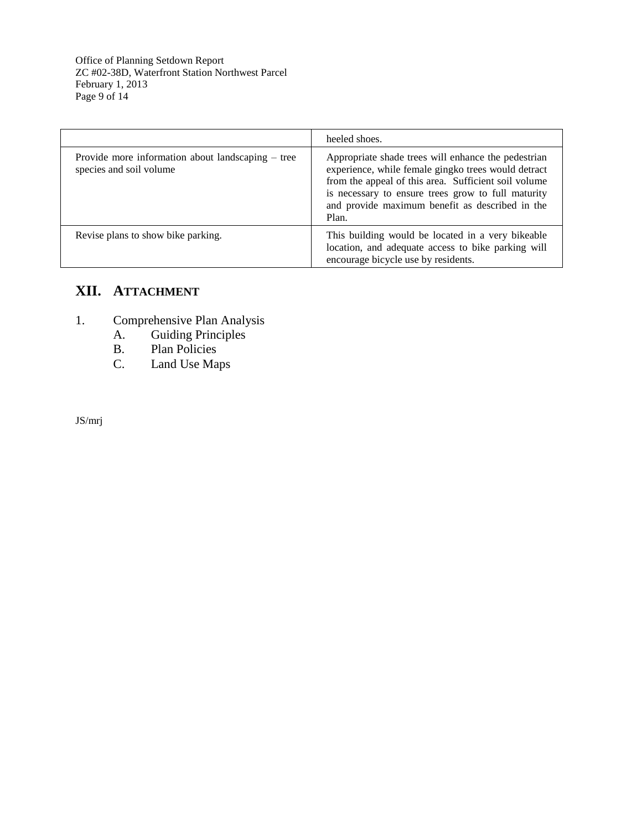Office of Planning Setdown Report ZC #02-38D, Waterfront Station Northwest Parcel February 1, 2013 Page 9 of 14

|                                                                              | heeled shoes.                                                                                                                                                                                                                                                                        |
|------------------------------------------------------------------------------|--------------------------------------------------------------------------------------------------------------------------------------------------------------------------------------------------------------------------------------------------------------------------------------|
| Provide more information about landscaping – tree<br>species and soil volume | Appropriate shade trees will enhance the pedestrian<br>experience, while female gingko trees would detract<br>from the appeal of this area. Sufficient soil volume<br>is necessary to ensure trees grow to full maturity<br>and provide maximum benefit as described in the<br>Plan. |
| Revise plans to show bike parking.                                           | This building would be located in a very bikeable<br>location, and adequate access to bike parking will<br>encourage bicycle use by residents.                                                                                                                                       |

# **XII. ATTACHMENT**

- 1. Comprehensive Plan Analysis<br>A. Guiding Principles
	- A. Guiding Principles<br>B. Plan Policies
	- B. Plan Policies<br>C. Land Use Ma
	- Land Use Maps

JS/mrj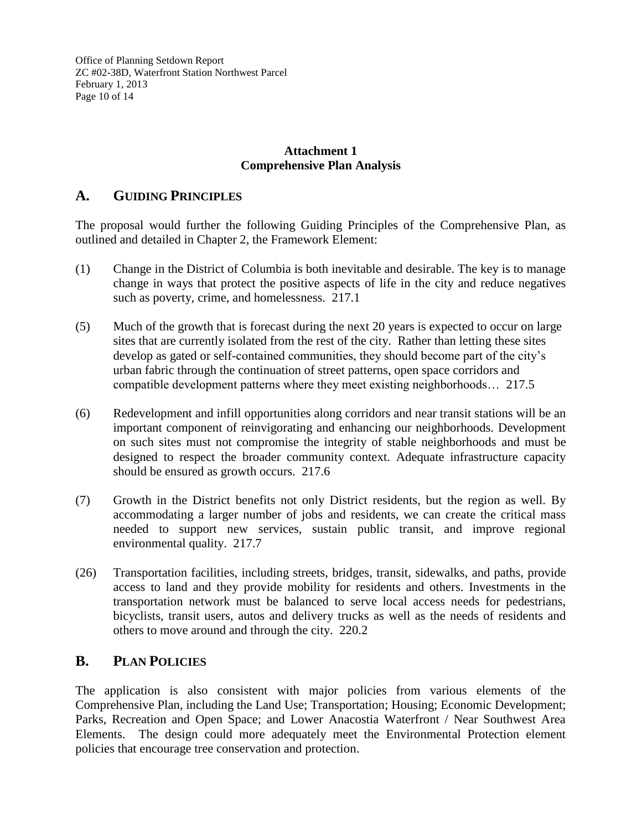Office of Planning Setdown Report ZC #02-38D, Waterfront Station Northwest Parcel February 1, 2013 Page 10 of 14

### **Attachment 1 Comprehensive Plan Analysis**

### **A. GUIDING PRINCIPLES**

The proposal would further the following Guiding Principles of the Comprehensive Plan, as outlined and detailed in Chapter 2, the Framework Element:

- (1) Change in the District of Columbia is both inevitable and desirable. The key is to manage change in ways that protect the positive aspects of life in the city and reduce negatives such as poverty, crime, and homelessness. 217.1
- (5) Much of the growth that is forecast during the next 20 years is expected to occur on large sites that are currently isolated from the rest of the city. Rather than letting these sites develop as gated or self-contained communities, they should become part of the city's urban fabric through the continuation of street patterns, open space corridors and compatible development patterns where they meet existing neighborhoods… 217.5
- (6) Redevelopment and infill opportunities along corridors and near transit stations will be an important component of reinvigorating and enhancing our neighborhoods. Development on such sites must not compromise the integrity of stable neighborhoods and must be designed to respect the broader community context. Adequate infrastructure capacity should be ensured as growth occurs. 217.6
- (7) Growth in the District benefits not only District residents, but the region as well. By accommodating a larger number of jobs and residents, we can create the critical mass needed to support new services, sustain public transit, and improve regional environmental quality. 217.7
- (26) Transportation facilities, including streets, bridges, transit, sidewalks, and paths, provide access to land and they provide mobility for residents and others. Investments in the transportation network must be balanced to serve local access needs for pedestrians, bicyclists, transit users, autos and delivery trucks as well as the needs of residents and others to move around and through the city. 220.2

### **B. PLAN POLICIES**

The application is also consistent with major policies from various elements of the Comprehensive Plan, including the Land Use; Transportation; Housing; Economic Development; Parks, Recreation and Open Space; and Lower Anacostia Waterfront / Near Southwest Area Elements. The design could more adequately meet the Environmental Protection element policies that encourage tree conservation and protection.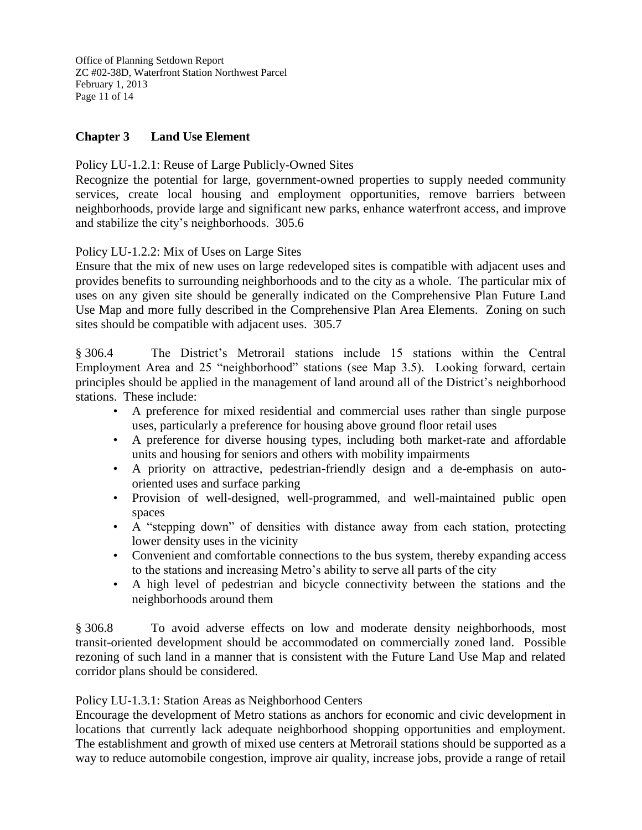Office of Planning Setdown Report ZC #02-38D, Waterfront Station Northwest Parcel February 1, 2013 Page 11 of 14

### **Chapter 3 Land Use Element**

#### Policy LU-1.2.1: Reuse of Large Publicly-Owned Sites

Recognize the potential for large, government-owned properties to supply needed community services, create local housing and employment opportunities, remove barriers between neighborhoods, provide large and significant new parks, enhance waterfront access, and improve and stabilize the city's neighborhoods. 305.6

Policy LU-1.2.2: Mix of Uses on Large Sites

Ensure that the mix of new uses on large redeveloped sites is compatible with adjacent uses and provides benefits to surrounding neighborhoods and to the city as a whole. The particular mix of uses on any given site should be generally indicated on the Comprehensive Plan Future Land Use Map and more fully described in the Comprehensive Plan Area Elements. Zoning on such sites should be compatible with adjacent uses. 305.7

§ 306.4 The District's Metrorail stations include 15 stations within the Central Employment Area and 25 "neighborhood" stations (see Map 3.5). Looking forward, certain principles should be applied in the management of land around all of the District's neighborhood stations. These include:

- A preference for mixed residential and commercial uses rather than single purpose uses, particularly a preference for housing above ground floor retail uses
- A preference for diverse housing types, including both market-rate and affordable units and housing for seniors and others with mobility impairments
- A priority on attractive, pedestrian-friendly design and a de-emphasis on autooriented uses and surface parking
- Provision of well-designed, well-programmed, and well-maintained public open spaces
- A "stepping down" of densities with distance away from each station, protecting lower density uses in the vicinity
- Convenient and comfortable connections to the bus system, thereby expanding access to the stations and increasing Metro's ability to serve all parts of the city
- A high level of pedestrian and bicycle connectivity between the stations and the neighborhoods around them

§ 306.8 To avoid adverse effects on low and moderate density neighborhoods, most transit-oriented development should be accommodated on commercially zoned land. Possible rezoning of such land in a manner that is consistent with the Future Land Use Map and related corridor plans should be considered.

#### Policy LU-1.3.1: Station Areas as Neighborhood Centers

Encourage the development of Metro stations as anchors for economic and civic development in locations that currently lack adequate neighborhood shopping opportunities and employment. The establishment and growth of mixed use centers at Metrorail stations should be supported as a way to reduce automobile congestion, improve air quality, increase jobs, provide a range of retail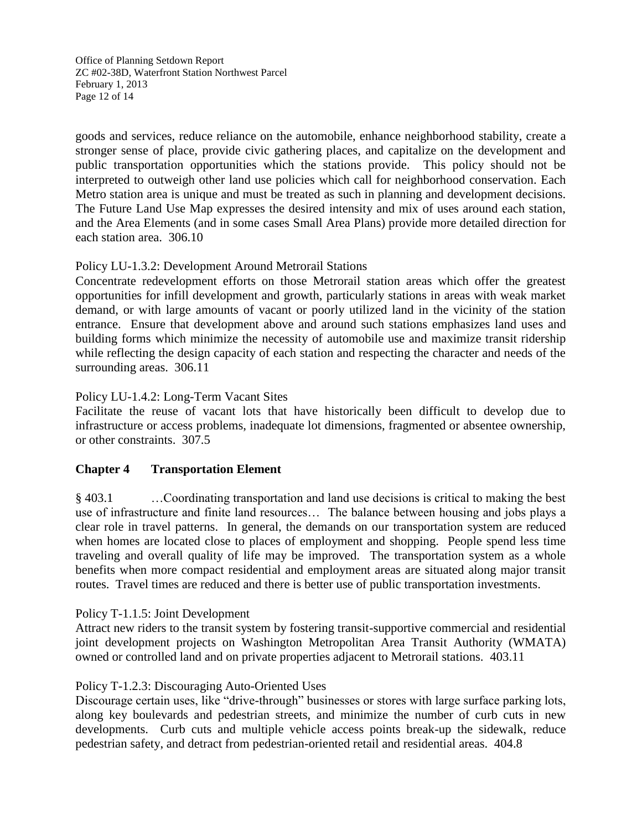Office of Planning Setdown Report ZC #02-38D, Waterfront Station Northwest Parcel February 1, 2013 Page 12 of 14

goods and services, reduce reliance on the automobile, enhance neighborhood stability, create a stronger sense of place, provide civic gathering places, and capitalize on the development and public transportation opportunities which the stations provide. This policy should not be interpreted to outweigh other land use policies which call for neighborhood conservation. Each Metro station area is unique and must be treated as such in planning and development decisions. The Future Land Use Map expresses the desired intensity and mix of uses around each station, and the Area Elements (and in some cases Small Area Plans) provide more detailed direction for each station area. 306.10

### Policy LU-1.3.2: Development Around Metrorail Stations

Concentrate redevelopment efforts on those Metrorail station areas which offer the greatest opportunities for infill development and growth, particularly stations in areas with weak market demand, or with large amounts of vacant or poorly utilized land in the vicinity of the station entrance. Ensure that development above and around such stations emphasizes land uses and building forms which minimize the necessity of automobile use and maximize transit ridership while reflecting the design capacity of each station and respecting the character and needs of the surrounding areas. 306.11

### Policy LU-1.4.2: Long-Term Vacant Sites

Facilitate the reuse of vacant lots that have historically been difficult to develop due to infrastructure or access problems, inadequate lot dimensions, fragmented or absentee ownership, or other constraints. 307.5

#### **Chapter 4 Transportation Element**

§ 403.1 …Coordinating transportation and land use decisions is critical to making the best use of infrastructure and finite land resources… The balance between housing and jobs plays a clear role in travel patterns. In general, the demands on our transportation system are reduced when homes are located close to places of employment and shopping. People spend less time traveling and overall quality of life may be improved. The transportation system as a whole benefits when more compact residential and employment areas are situated along major transit routes. Travel times are reduced and there is better use of public transportation investments.

#### Policy T-1.1.5: Joint Development

Attract new riders to the transit system by fostering transit-supportive commercial and residential joint development projects on Washington Metropolitan Area Transit Authority (WMATA) owned or controlled land and on private properties adjacent to Metrorail stations. 403.11

#### Policy T-1.2.3: Discouraging Auto-Oriented Uses

Discourage certain uses, like "drive-through" businesses or stores with large surface parking lots, along key boulevards and pedestrian streets, and minimize the number of curb cuts in new developments. Curb cuts and multiple vehicle access points break-up the sidewalk, reduce pedestrian safety, and detract from pedestrian-oriented retail and residential areas. 404.8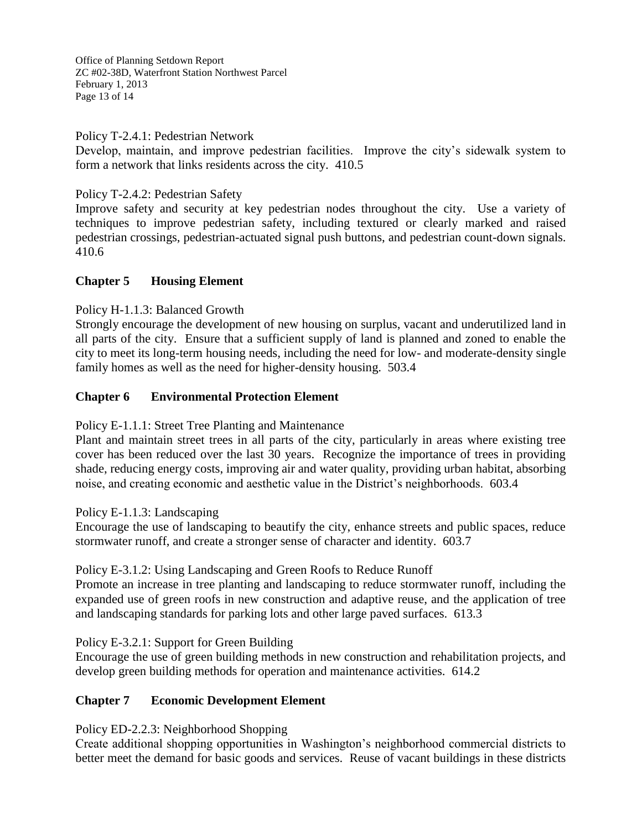Office of Planning Setdown Report ZC #02-38D, Waterfront Station Northwest Parcel February 1, 2013 Page 13 of 14

Policy T-2.4.1: Pedestrian Network

Develop, maintain, and improve pedestrian facilities. Improve the city's sidewalk system to form a network that links residents across the city. 410.5

Policy T-2.4.2: Pedestrian Safety

Improve safety and security at key pedestrian nodes throughout the city. Use a variety of techniques to improve pedestrian safety, including textured or clearly marked and raised pedestrian crossings, pedestrian-actuated signal push buttons, and pedestrian count-down signals. 410.6

### **Chapter 5 Housing Element**

Policy H-1.1.3: Balanced Growth

Strongly encourage the development of new housing on surplus, vacant and underutilized land in all parts of the city. Ensure that a sufficient supply of land is planned and zoned to enable the city to meet its long-term housing needs, including the need for low- and moderate-density single family homes as well as the need for higher-density housing. 503.4

### **Chapter 6 Environmental Protection Element**

Policy E-1.1.1: Street Tree Planting and Maintenance

Plant and maintain street trees in all parts of the city, particularly in areas where existing tree cover has been reduced over the last 30 years. Recognize the importance of trees in providing shade, reducing energy costs, improving air and water quality, providing urban habitat, absorbing noise, and creating economic and aesthetic value in the District's neighborhoods. 603.4

Policy E-1.1.3: Landscaping

Encourage the use of landscaping to beautify the city, enhance streets and public spaces, reduce stormwater runoff, and create a stronger sense of character and identity. 603.7

#### Policy E-3.1.2: Using Landscaping and Green Roofs to Reduce Runoff

Promote an increase in tree planting and landscaping to reduce stormwater runoff, including the expanded use of green roofs in new construction and adaptive reuse, and the application of tree and landscaping standards for parking lots and other large paved surfaces. 613.3

Policy E-3.2.1: Support for Green Building

Encourage the use of green building methods in new construction and rehabilitation projects, and develop green building methods for operation and maintenance activities. 614.2

### **Chapter 7 Economic Development Element**

Policy ED-2.2.3: Neighborhood Shopping

Create additional shopping opportunities in Washington's neighborhood commercial districts to better meet the demand for basic goods and services. Reuse of vacant buildings in these districts